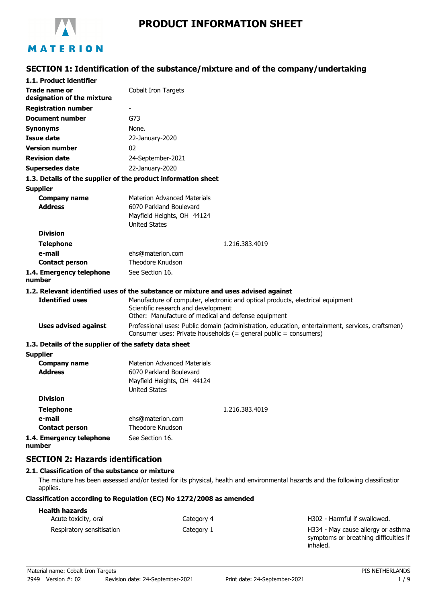

# MATERION

### **SECTION 1: Identification of the substance/mixture and of the company/undertaking**

| 1.1. Product identifier                               |                                                                                                                                                                              |
|-------------------------------------------------------|------------------------------------------------------------------------------------------------------------------------------------------------------------------------------|
| Trade name or<br>designation of the mixture           | Cobalt Iron Targets                                                                                                                                                          |
| <b>Registration number</b>                            |                                                                                                                                                                              |
| <b>Document number</b>                                | G73                                                                                                                                                                          |
| Synonyms                                              | None.                                                                                                                                                                        |
| <b>Issue date</b>                                     | 22-January-2020                                                                                                                                                              |
| <b>Version number</b>                                 | 02                                                                                                                                                                           |
| <b>Revision date</b>                                  | 24-September-2021                                                                                                                                                            |
| <b>Supersedes date</b>                                | 22-January-2020                                                                                                                                                              |
|                                                       | 1.3. Details of the supplier of the product information sheet                                                                                                                |
| <b>Supplier</b>                                       |                                                                                                                                                                              |
| <b>Company name</b><br><b>Address</b>                 | <b>Materion Advanced Materials</b><br>6070 Parkland Boulevard<br>Mayfield Heights, OH 44124<br><b>United States</b>                                                          |
| <b>Division</b>                                       |                                                                                                                                                                              |
| <b>Telephone</b>                                      | 1.216.383.4019                                                                                                                                                               |
| e-mail                                                | ehs@materion.com                                                                                                                                                             |
| <b>Contact person</b>                                 | Theodore Knudson                                                                                                                                                             |
| 1.4. Emergency telephone<br>number                    | See Section 16.                                                                                                                                                              |
|                                                       | 1.2. Relevant identified uses of the substance or mixture and uses advised against                                                                                           |
| <b>Identified uses</b>                                | Manufacture of computer, electronic and optical products, electrical equipment<br>Scientific research and development<br>Other: Manufacture of medical and defense equipment |
| <b>Uses advised against</b>                           | Professional uses: Public domain (administration, education, entertainment, services, craftsmen)<br>Consumer uses: Private households (= general public = consumers)         |
| 1.3. Details of the supplier of the safety data sheet |                                                                                                                                                                              |
| <b>Supplier</b>                                       |                                                                                                                                                                              |
| <b>Company name</b><br><b>Address</b>                 | <b>Materion Advanced Materials</b><br>6070 Parkland Boulevard<br>Mayfield Heights, OH 44124<br><b>United States</b>                                                          |
| <b>Division</b>                                       |                                                                                                                                                                              |
| <b>Telephone</b>                                      | 1.216.383.4019                                                                                                                                                               |
| e-mail                                                | ehs@materion.com                                                                                                                                                             |
| <b>Contact person</b>                                 | Theodore Knudson                                                                                                                                                             |
| 1.4. Emergency telephone<br>number                    | See Section 16.                                                                                                                                                              |

### **SECTION 2: Hazards identification**

#### **2.1. Classification of the substance or mixture**

The mixture has been assessed and/or tested for its physical, health and environmental hazards and the following classification applies.

#### **Classification according to Regulation (EC) No 1272/2008 as amended**

| <b>Health hazards</b>     |            |                                                                                         |
|---------------------------|------------|-----------------------------------------------------------------------------------------|
| Acute toxicity, oral      | Category 4 | H302 - Harmful if swallowed.                                                            |
| Respiratory sensitisation | Category 1 | H334 - May cause allergy or asthma<br>symptoms or breathing difficulties if<br>inhaled. |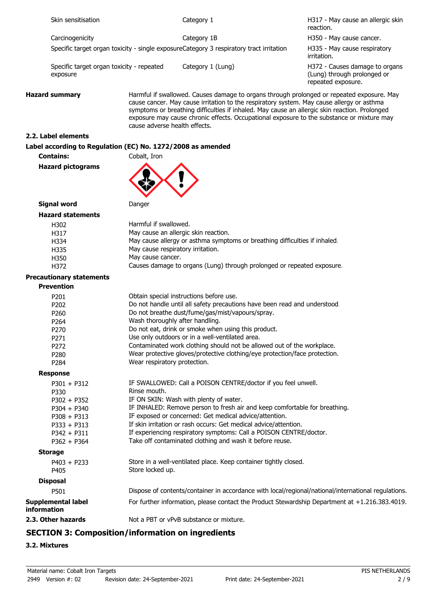| Skin sensitisation                                     |                                                             | Category 1                                                                                                                                                                                                                                                                              | H317 - May cause an allergic skin<br>reaction.                                                      |
|--------------------------------------------------------|-------------------------------------------------------------|-----------------------------------------------------------------------------------------------------------------------------------------------------------------------------------------------------------------------------------------------------------------------------------------|-----------------------------------------------------------------------------------------------------|
| Carcinogenicity                                        |                                                             | Category 1B                                                                                                                                                                                                                                                                             | H350 - May cause cancer.                                                                            |
|                                                        |                                                             | Specific target organ toxicity - single exposureCategory 3 respiratory tract irritation                                                                                                                                                                                                 | H335 - May cause respiratory<br>irritation.                                                         |
| exposure                                               | Specific target organ toxicity - repeated                   | Category 1 (Lung)                                                                                                                                                                                                                                                                       | H372 - Causes damage to organs<br>(Lung) through prolonged or<br>repeated exposure.                 |
| <b>Hazard summary</b><br>cause adverse health effects. |                                                             | cause cancer. May cause irritation to the respiratory system. May cause allergy or asthma<br>symptoms or breathing difficulties if inhaled. May cause an allergic skin reaction. Prolonged<br>exposure may cause chronic effects. Occupational exposure to the substance or mixture may | Harmful if swallowed. Causes damage to organs through prolonged or repeated exposure. May           |
| 2.2. Label elements                                    |                                                             |                                                                                                                                                                                                                                                                                         |                                                                                                     |
|                                                        | Label according to Regulation (EC) No. 1272/2008 as amended |                                                                                                                                                                                                                                                                                         |                                                                                                     |
| <b>Contains:</b>                                       | Cobalt, Iron                                                |                                                                                                                                                                                                                                                                                         |                                                                                                     |
| <b>Hazard pictograms</b>                               |                                                             |                                                                                                                                                                                                                                                                                         |                                                                                                     |
| <b>Signal word</b>                                     | Danger                                                      |                                                                                                                                                                                                                                                                                         |                                                                                                     |
| <b>Hazard statements</b>                               |                                                             |                                                                                                                                                                                                                                                                                         |                                                                                                     |
| H302                                                   | Harmful if swallowed.                                       |                                                                                                                                                                                                                                                                                         |                                                                                                     |
| H317                                                   |                                                             | May cause an allergic skin reaction.                                                                                                                                                                                                                                                    |                                                                                                     |
| H334                                                   |                                                             | May cause allergy or asthma symptoms or breathing difficulties if inhaled.                                                                                                                                                                                                              |                                                                                                     |
| H335                                                   | May cause respiratory irritation.                           |                                                                                                                                                                                                                                                                                         |                                                                                                     |
| H350                                                   | May cause cancer.                                           |                                                                                                                                                                                                                                                                                         |                                                                                                     |
| H372                                                   |                                                             | Causes damage to organs (Lung) through prolonged or repeated exposure.                                                                                                                                                                                                                  |                                                                                                     |
| <b>Precautionary statements</b>                        |                                                             |                                                                                                                                                                                                                                                                                         |                                                                                                     |
| <b>Prevention</b>                                      |                                                             |                                                                                                                                                                                                                                                                                         |                                                                                                     |
|                                                        |                                                             |                                                                                                                                                                                                                                                                                         |                                                                                                     |
| P201                                                   |                                                             | Obtain special instructions before use.                                                                                                                                                                                                                                                 |                                                                                                     |
| P202                                                   |                                                             | Do not handle until all safety precautions have been read and understood.                                                                                                                                                                                                               |                                                                                                     |
| P260                                                   |                                                             | Do not breathe dust/fume/gas/mist/vapours/spray.                                                                                                                                                                                                                                        |                                                                                                     |
| P264                                                   |                                                             | Wash thoroughly after handling.                                                                                                                                                                                                                                                         |                                                                                                     |
| P270                                                   |                                                             | Do not eat, drink or smoke when using this product.                                                                                                                                                                                                                                     |                                                                                                     |
| P271                                                   |                                                             | Use only outdoors or in a well-ventilated area.                                                                                                                                                                                                                                         |                                                                                                     |
| P272                                                   |                                                             | Contaminated work clothing should not be allowed out of the workplace.                                                                                                                                                                                                                  |                                                                                                     |
| P280                                                   | Wear respiratory protection.                                | Wear protective gloves/protective clothing/eye protection/face protection.                                                                                                                                                                                                              |                                                                                                     |
| P284                                                   |                                                             |                                                                                                                                                                                                                                                                                         |                                                                                                     |
| <b>Response</b>                                        |                                                             |                                                                                                                                                                                                                                                                                         |                                                                                                     |
| $P301 + P312$                                          |                                                             | IF SWALLOWED: Call a POISON CENTRE/doctor if you feel unwell.                                                                                                                                                                                                                           |                                                                                                     |
| P330                                                   | Rinse mouth.                                                |                                                                                                                                                                                                                                                                                         |                                                                                                     |
| $P302 + P352$                                          |                                                             | IF ON SKIN: Wash with plenty of water.                                                                                                                                                                                                                                                  |                                                                                                     |
| $P304 + P340$                                          |                                                             | IF INHALED: Remove person to fresh air and keep comfortable for breathing.                                                                                                                                                                                                              |                                                                                                     |
| $P308 + P313$                                          |                                                             | IF exposed or concerned: Get medical advice/attention.                                                                                                                                                                                                                                  |                                                                                                     |
| $P333 + P313$                                          |                                                             | If skin irritation or rash occurs: Get medical advice/attention.                                                                                                                                                                                                                        |                                                                                                     |
| $P342 + P311$                                          |                                                             | If experiencing respiratory symptoms: Call a POISON CENTRE/doctor.                                                                                                                                                                                                                      |                                                                                                     |
| $P362 + P364$                                          |                                                             | Take off contaminated clothing and wash it before reuse.                                                                                                                                                                                                                                |                                                                                                     |
| <b>Storage</b>                                         |                                                             |                                                                                                                                                                                                                                                                                         |                                                                                                     |
| $P403 + P233$<br>P405                                  | Store locked up.                                            | Store in a well-ventilated place. Keep container tightly closed.                                                                                                                                                                                                                        |                                                                                                     |
| <b>Disposal</b>                                        |                                                             |                                                                                                                                                                                                                                                                                         |                                                                                                     |
| P501                                                   |                                                             |                                                                                                                                                                                                                                                                                         | Dispose of contents/container in accordance with local/regional/national/international regulations. |
| <b>Supplemental label</b><br>information               |                                                             |                                                                                                                                                                                                                                                                                         | For further information, please contact the Product Stewardship Department at +1.216.383.4019.      |
| 2.3. Other hazards                                     |                                                             | Not a PBT or vPvB substance or mixture.                                                                                                                                                                                                                                                 |                                                                                                     |
|                                                        |                                                             |                                                                                                                                                                                                                                                                                         |                                                                                                     |

## **SECTION 3: Composition/information on ingredients**

### **3.2. Mixtures**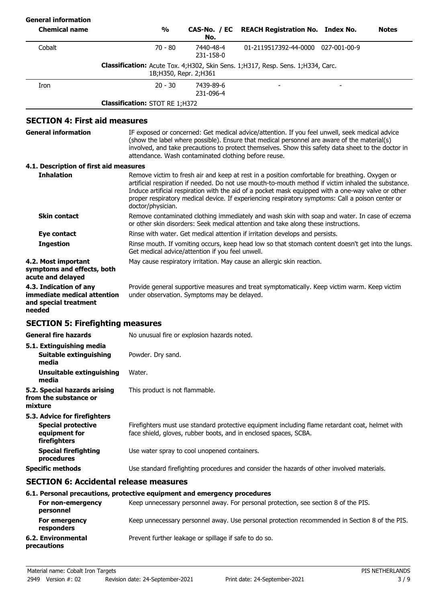| <b>General information</b>                                                               |                                                  |                         |                                                                                                                                                                                                                                                                                                                                                                                                                 |              |
|------------------------------------------------------------------------------------------|--------------------------------------------------|-------------------------|-----------------------------------------------------------------------------------------------------------------------------------------------------------------------------------------------------------------------------------------------------------------------------------------------------------------------------------------------------------------------------------------------------------------|--------------|
| <b>Chemical name</b>                                                                     | $\frac{1}{2}$                                    | CAS-No. / EC<br>No.     | <b>REACH Registration No. Index No.</b>                                                                                                                                                                                                                                                                                                                                                                         | <b>Notes</b> |
| Cobalt                                                                                   | $70 - 80$                                        | 7440-48-4<br>231-158-0  | 01-2119517392-44-0000 027-001-00-9                                                                                                                                                                                                                                                                                                                                                                              |              |
|                                                                                          |                                                  | 1B; H350, Repr. 2; H361 | Classification: Acute Tox. 4;H302, Skin Sens. 1;H317, Resp. Sens. 1;H334, Carc.                                                                                                                                                                                                                                                                                                                                 |              |
| Iron                                                                                     | $20 - 30$                                        | 7439-89-6<br>231-096-4  |                                                                                                                                                                                                                                                                                                                                                                                                                 |              |
|                                                                                          | <b>Classification: STOT RE 1;H372</b>            |                         |                                                                                                                                                                                                                                                                                                                                                                                                                 |              |
| <b>SECTION 4: First aid measures</b>                                                     |                                                  |                         |                                                                                                                                                                                                                                                                                                                                                                                                                 |              |
| <b>General information</b>                                                               |                                                  |                         | IF exposed or concerned: Get medical advice/attention. If you feel unwell, seek medical advice<br>(show the label where possible). Ensure that medical personnel are aware of the material(s)<br>involved, and take precautions to protect themselves. Show this safety data sheet to the doctor in<br>attendance. Wash contaminated clothing before reuse.                                                     |              |
| 4.1. Description of first aid measures                                                   |                                                  |                         |                                                                                                                                                                                                                                                                                                                                                                                                                 |              |
| <b>Inhalation</b>                                                                        | doctor/physician.                                |                         | Remove victim to fresh air and keep at rest in a position comfortable for breathing. Oxygen or<br>artificial respiration if needed. Do not use mouth-to-mouth method if victim inhaled the substance.<br>Induce artificial respiration with the aid of a pocket mask equipped with a one-way valve or other<br>proper respiratory medical device. If experiencing respiratory symptoms: Call a poison center or |              |
| <b>Skin contact</b>                                                                      |                                                  |                         | Remove contaminated clothing immediately and wash skin with soap and water. In case of eczema<br>or other skin disorders: Seek medical attention and take along these instructions.                                                                                                                                                                                                                             |              |
| <b>Eye contact</b>                                                                       |                                                  |                         | Rinse with water. Get medical attention if irritation develops and persists.                                                                                                                                                                                                                                                                                                                                    |              |
| <b>Ingestion</b>                                                                         | Get medical advice/attention if you feel unwell. |                         | Rinse mouth. If vomiting occurs, keep head low so that stomach content doesn't get into the lungs.                                                                                                                                                                                                                                                                                                              |              |
| 4.2. Most important<br>symptoms and effects, both<br>acute and delayed                   |                                                  |                         | May cause respiratory irritation. May cause an allergic skin reaction.                                                                                                                                                                                                                                                                                                                                          |              |
| 4.3. Indication of any<br>immediate medical attention<br>and special treatment<br>needed | under observation. Symptoms may be delayed.      |                         | Provide general supportive measures and treat symptomatically. Keep victim warm. Keep victim                                                                                                                                                                                                                                                                                                                    |              |
| <b>SECTION 5: Firefighting measures</b>                                                  |                                                  |                         |                                                                                                                                                                                                                                                                                                                                                                                                                 |              |
| <b>General fire hazards</b>                                                              | No unusual fire or explosion hazards noted.      |                         |                                                                                                                                                                                                                                                                                                                                                                                                                 |              |
| 5.1. Extinguishing media<br>Suitable extinguishing<br>media                              | Powder. Dry sand.                                |                         |                                                                                                                                                                                                                                                                                                                                                                                                                 |              |
| Unsuitable extinguishing<br>media                                                        | Water.                                           |                         |                                                                                                                                                                                                                                                                                                                                                                                                                 |              |
| 5.2. Special hazards arising<br>from the substance or<br>mixture                         | This product is not flammable.                   |                         |                                                                                                                                                                                                                                                                                                                                                                                                                 |              |
| 5.3. Advice for firefighters                                                             |                                                  |                         |                                                                                                                                                                                                                                                                                                                                                                                                                 |              |
| <b>Special protective</b><br>equipment for<br>firefighters                               |                                                  |                         | Firefighters must use standard protective equipment including flame retardant coat, helmet with<br>face shield, gloves, rubber boots, and in enclosed spaces, SCBA.                                                                                                                                                                                                                                             |              |
| <b>Special firefighting</b><br>procedures                                                | Use water spray to cool unopened containers.     |                         |                                                                                                                                                                                                                                                                                                                                                                                                                 |              |
| <b>Specific methods</b>                                                                  |                                                  |                         | Use standard firefighting procedures and consider the hazards of other involved materials.                                                                                                                                                                                                                                                                                                                      |              |
| <b>SECTION 6: Accidental release measures</b>                                            |                                                  |                         |                                                                                                                                                                                                                                                                                                                                                                                                                 |              |
| 6.1. Personal precautions, protective equipment and emergency procedures                 |                                                  |                         |                                                                                                                                                                                                                                                                                                                                                                                                                 |              |

| For non-emergency<br>personnel    | Keep unnecessary personnel away. For personal protection, see section 8 of the PIS.           |
|-----------------------------------|-----------------------------------------------------------------------------------------------|
| For emergency<br>responders       | Keep unnecessary personnel away. Use personal protection recommended in Section 8 of the PIS. |
| 6.2. Environmental<br>precautions | Prevent further leakage or spillage if safe to do so.                                         |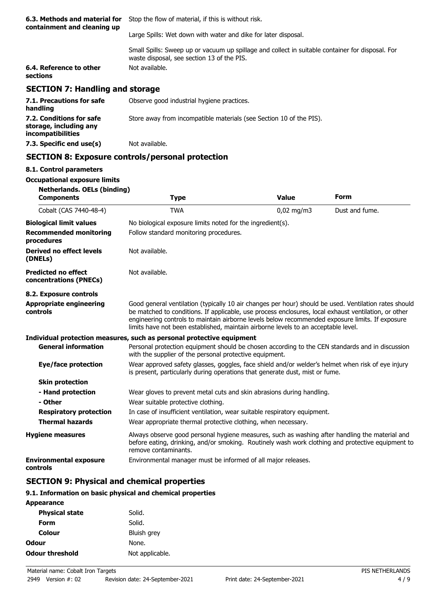| 6.3. Methods and material for<br>containment and cleaning up | Stop the flow of material, if this is without risk.                                                                                            |
|--------------------------------------------------------------|------------------------------------------------------------------------------------------------------------------------------------------------|
|                                                              | Large Spills: Wet down with water and dike for later disposal.                                                                                 |
|                                                              | Small Spills: Sweep up or vacuum up spillage and collect in suitable container for disposal. For<br>waste disposal, see section 13 of the PIS. |
| 6.4. Reference to other<br>sections                          | Not available.                                                                                                                                 |
| <b>SECTION 7: Handling and storage</b>                       |                                                                                                                                                |
| 7.1. Precautions for safe<br>handling                        | Observe good industrial hygiene practices.                                                                                                     |
| 7.2. Conditions for safe<br>storage, including any           | Store away from incompatible materials (see Section 10 of the PIS).                                                                            |

## **SECTION 8: Exposure controls/personal protection**

### **8.1. Control parameters**

**incompatibilities**

## **Occupational exposure limits**

**7.3. Specific end use(s)** Not available.

| <b>Netherlands. OELs (binding)</b><br><b>Components</b> | <b>Type</b>                                                                                                                                                                                                                                                                                                                                                                                            | <b>Value</b> | <b>Form</b>    |
|---------------------------------------------------------|--------------------------------------------------------------------------------------------------------------------------------------------------------------------------------------------------------------------------------------------------------------------------------------------------------------------------------------------------------------------------------------------------------|--------------|----------------|
| Cobalt (CAS 7440-48-4)                                  | <b>TWA</b>                                                                                                                                                                                                                                                                                                                                                                                             | $0,02$ mg/m3 | Dust and fume. |
| <b>Biological limit values</b>                          | No biological exposure limits noted for the ingredient(s).                                                                                                                                                                                                                                                                                                                                             |              |                |
| <b>Recommended monitoring</b><br>procedures             | Follow standard monitoring procedures.                                                                                                                                                                                                                                                                                                                                                                 |              |                |
| <b>Derived no effect levels</b><br>(DNELs)              | Not available.                                                                                                                                                                                                                                                                                                                                                                                         |              |                |
| <b>Predicted no effect</b><br>concentrations (PNECs)    | Not available.                                                                                                                                                                                                                                                                                                                                                                                         |              |                |
| 8.2. Exposure controls                                  |                                                                                                                                                                                                                                                                                                                                                                                                        |              |                |
| <b>Appropriate engineering</b><br>controls              | Good general ventilation (typically 10 air changes per hour) should be used. Ventilation rates should<br>be matched to conditions. If applicable, use process enclosures, local exhaust ventilation, or other<br>engineering controls to maintain airborne levels below recommended exposure limits. If exposure<br>limits have not been established, maintain airborne levels to an acceptable level. |              |                |
|                                                         | Individual protection measures, such as personal protective equipment                                                                                                                                                                                                                                                                                                                                  |              |                |
| <b>General information</b>                              | Personal protection equipment should be chosen according to the CEN standards and in discussion<br>with the supplier of the personal protective equipment.                                                                                                                                                                                                                                             |              |                |
| Eye/face protection                                     | Wear approved safety glasses, goggles, face shield and/or welder's helmet when risk of eye injury<br>is present, particularly during operations that generate dust, mist or fume.                                                                                                                                                                                                                      |              |                |
| <b>Skin protection</b>                                  |                                                                                                                                                                                                                                                                                                                                                                                                        |              |                |
| - Hand protection                                       | Wear gloves to prevent metal cuts and skin abrasions during handling.                                                                                                                                                                                                                                                                                                                                  |              |                |
| - Other                                                 | Wear suitable protective clothing.                                                                                                                                                                                                                                                                                                                                                                     |              |                |
| <b>Respiratory protection</b>                           | In case of insufficient ventilation, wear suitable respiratory equipment.                                                                                                                                                                                                                                                                                                                              |              |                |
| <b>Thermal hazards</b>                                  | Wear appropriate thermal protective clothing, when necessary.                                                                                                                                                                                                                                                                                                                                          |              |                |
| <b>Hygiene measures</b>                                 | Always observe good personal hygiene measures, such as washing after handling the material and<br>before eating, drinking, and/or smoking. Routinely wash work clothing and protective equipment to<br>remove contaminants.                                                                                                                                                                            |              |                |
| <b>Environmental exposure</b><br>controls               | Environmental manager must be informed of all major releases.                                                                                                                                                                                                                                                                                                                                          |              |                |
| <b>SECTION 9: Physical and chemical properties</b>      |                                                                                                                                                                                                                                                                                                                                                                                                        |              |                |

### **9.1. Information on basic physical and chemical properties**

| <b>Appearance</b>      |                 |
|------------------------|-----------------|
| <b>Physical state</b>  | Solid.          |
| Form                   | Solid.          |
| Colour                 | Bluish grey     |
| Odour                  | None.           |
| <b>Odour threshold</b> | Not applicable. |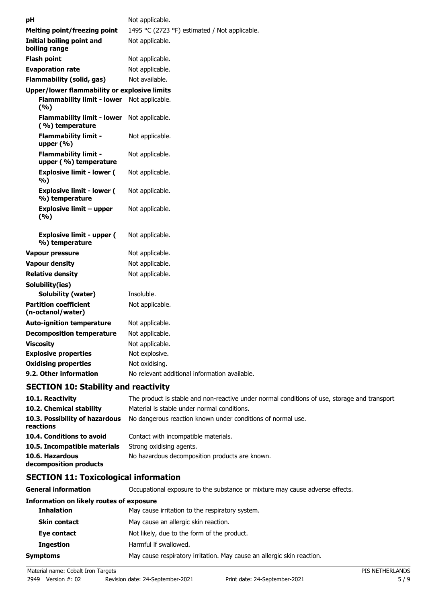| рH |                                                      | Not applicable.                               |
|----|------------------------------------------------------|-----------------------------------------------|
|    | Melting point/freezing point                         | 1495 °C (2723 °F) estimated / Not applicable. |
|    | <b>Initial boiling point and</b><br>boiling range    | Not applicable.                               |
|    | <b>Flash point</b>                                   | Not applicable.                               |
|    | <b>Evaporation rate</b>                              | Not applicable.                               |
|    | <b>Flammability (solid, gas)</b>                     | Not available.                                |
|    | <b>Upper/lower flammability or explosive limits</b>  |                                               |
|    | <b>Flammability limit - lower</b><br>(%)             | Not applicable.                               |
|    | <b>Flammability limit - lower</b><br>(%) temperature | Not applicable.                               |
|    | <b>Flammability limit -</b><br>upper $(% )$          | Not applicable.                               |
|    | <b>Flammability limit -</b><br>upper (%) temperature | Not applicable.                               |
|    | <b>Explosive limit - lower (</b><br>%)               | Not applicable.                               |
|    | <b>Explosive limit - lower (</b><br>%) temperature   | Not applicable.                               |
|    | Explosive limit – upper<br>(%)                       | Not applicable.                               |
|    | <b>Explosive limit - upper (</b><br>%) temperature   | Not applicable.                               |
|    | <b>Vapour pressure</b>                               | Not applicable.                               |
|    | <b>Vapour density</b>                                | Not applicable.                               |
|    | <b>Relative density</b>                              | Not applicable.                               |
|    | Solubility(ies)                                      |                                               |
|    | Solubility (water)                                   | Insoluble.                                    |
|    | <b>Partition coefficient</b><br>(n-octanol/water)    | Not applicable.                               |
|    | <b>Auto-ignition temperature</b>                     | Not applicable.                               |
|    | <b>Decomposition temperature</b>                     | Not applicable.                               |
|    | <b>Viscosity</b>                                     | Not applicable.                               |
|    | <b>Explosive properties</b>                          | Not explosive.                                |
|    | <b>Oxidising properties</b>                          | Not oxidising.                                |
|    | 9.2. Other information                               | No relevant additional information available. |
|    |                                                      |                                               |

## **SECTION 10: Stability and reactivity**

| 10.1. Reactivity                            | The product is stable and non-reactive under normal conditions of use, storage and transport. |
|---------------------------------------------|-----------------------------------------------------------------------------------------------|
| 10.2. Chemical stability                    | Material is stable under normal conditions.                                                   |
| 10.3. Possibility of hazardous<br>reactions | No dangerous reaction known under conditions of normal use.                                   |
| 10.4. Conditions to avoid                   | Contact with incompatible materials.                                                          |
| 10.5. Incompatible materials                | Strong oxidising agents.                                                                      |
| 10.6. Hazardous<br>decomposition products   | No hazardous decomposition products are known.                                                |

## **SECTION 11: Toxicological information**

**General information CCCUPATION** Occupational exposure to the substance or mixture may cause adverse effects.

### **Information on likely routes of exposure**

| <b>Inhalation</b> | May cause irritation to the respiratory system.                        |
|-------------------|------------------------------------------------------------------------|
| Skin contact      | May cause an allergic skin reaction.                                   |
| Eye contact       | Not likely, due to the form of the product.                            |
| <b>Ingestion</b>  | Harmful if swallowed.                                                  |
| Symptoms          | May cause respiratory irritation. May cause an allergic skin reaction. |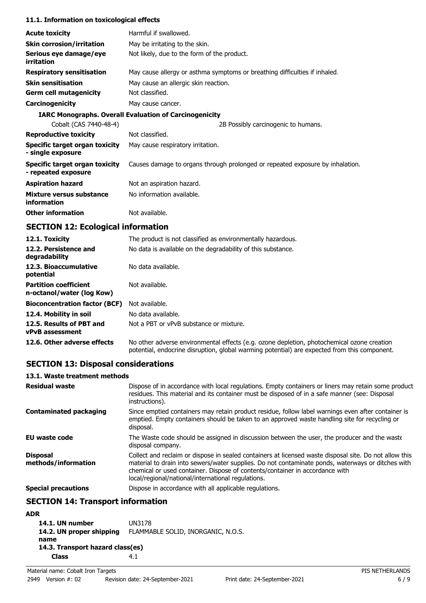#### **11.1. Information on toxicological effects**

| <b>Acute toxicity</b>                                 | Harmful if swallowed.                                                         |
|-------------------------------------------------------|-------------------------------------------------------------------------------|
| <b>Skin corrosion/irritation</b>                      | May be irritating to the skin.                                                |
| Serious eye damage/eye<br>irritation                  | Not likely, due to the form of the product.                                   |
| <b>Respiratory sensitisation</b>                      | May cause allergy or asthma symptoms or breathing difficulties if inhaled.    |
| <b>Skin sensitisation</b>                             | May cause an allergic skin reaction.                                          |
| <b>Germ cell mutagenicity</b>                         | Not classified.                                                               |
| Carcinogenicity                                       | May cause cancer.                                                             |
|                                                       | <b>IARC Monographs. Overall Evaluation of Carcinogenicity</b>                 |
| Cobalt (CAS 7440-48-4)                                | 2B Possibly carcinogenic to humans.                                           |
| <b>Reproductive toxicity</b>                          | Not classified.                                                               |
| Specific target organ toxicity<br>- single exposure   | May cause respiratory irritation.                                             |
| Specific target organ toxicity<br>- repeated exposure | Causes damage to organs through prolonged or repeated exposure by inhalation. |
| <b>Aspiration hazard</b>                              | Not an aspiration hazard.                                                     |
| Mixture versus substance<br>information               | No information available.                                                     |
| <b>Other information</b>                              | Not available.                                                                |

## **SECTION 12: Ecological information**

| 12.1. Toxicity                                            | The product is not classified as environmentally hazardous.                                                                                                                                |
|-----------------------------------------------------------|--------------------------------------------------------------------------------------------------------------------------------------------------------------------------------------------|
| 12.2. Persistence and<br>degradability                    | No data is available on the degradability of this substance.                                                                                                                               |
| 12.3. Bioaccumulative<br>potential                        | No data available.                                                                                                                                                                         |
| <b>Partition coefficient</b><br>n-octanol/water (log Kow) | Not available.                                                                                                                                                                             |
| <b>Bioconcentration factor (BCF)</b>                      | Not available.                                                                                                                                                                             |
| 12.4. Mobility in soil                                    | No data available.                                                                                                                                                                         |
| 12.5. Results of PBT and<br><b>vPvB</b> assessment        | Not a PBT or vPvB substance or mixture.                                                                                                                                                    |
| 12.6. Other adverse effects                               | No other adverse environmental effects (e.g. ozone depletion, photochemical ozone creation<br>potential, endocrine disruption, global warming potential) are expected from this component. |

## **SECTION 13: Disposal considerations**

#### **13.1. Waste treatment methods**

| <b>Residual waste</b>                  | Dispose of in accordance with local regulations. Empty containers or liners may retain some product<br>residues. This material and its container must be disposed of in a safe manner (see: Disposal<br>instructions).                                                                                                                            |
|----------------------------------------|---------------------------------------------------------------------------------------------------------------------------------------------------------------------------------------------------------------------------------------------------------------------------------------------------------------------------------------------------|
| <b>Contaminated packaging</b>          | Since emptied containers may retain product residue, follow label warnings even after container is<br>emptied. Empty containers should be taken to an approved waste handling site for recycling or<br>disposal.                                                                                                                                  |
| <b>EU</b> waste code                   | The Waste code should be assigned in discussion between the user, the producer and the waste<br>disposal company.                                                                                                                                                                                                                                 |
| <b>Disposal</b><br>methods/information | Collect and reclaim or dispose in sealed containers at licensed waste disposal site. Do not allow this<br>material to drain into sewers/water supplies. Do not contaminate ponds, waterways or ditches with<br>chemical or used container. Dispose of contents/container in accordance with<br>local/regional/national/international regulations. |
| <b>Special precautions</b>             | Dispose in accordance with all applicable regulations.                                                                                                                                                                                                                                                                                            |

## **SECTION 14: Transport information**

### **ADR**

| ⋯                                |                                    |  |
|----------------------------------|------------------------------------|--|
| 14.1. UN number                  | UN3178                             |  |
| 14.2. UN proper shipping         | FLAMMABLE SOLID, INORGANIC, N.O.S. |  |
| name                             |                                    |  |
| 14.3. Transport hazard class(es) |                                    |  |
| Class                            | 4.1                                |  |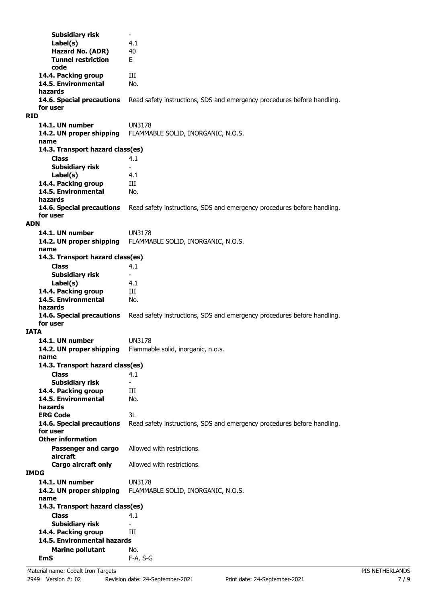**Subsidiary risk Label(s)** 4.1 **Hazard No. (ADR)** 40 **Tunnel restriction** E **code 14.4. Packing group III 14.5. Environmental** No. **hazards 14.6. Special precautions** Read safety instructions, SDS and emergency procedures before handling. **for user RID 14.1. UN number** UN3178 **14.2. UN proper shipping** FLAMMABLE SOLID, INORGANIC, N.O.S. **name Class** 4.1 **14.3. Transport hazard class(es) Subsidiary risk Label(s)** 4.1 14.4. Packing group **III 14.5. Environmental** No. **hazards 14.6. Special precautions** Read safety instructions, SDS and emergency procedures before handling. **for user ADN 14.1. UN number** UN3178 **14.2. UN proper shipping** FLAMMABLE SOLID, INORGANIC, N.O.S. **name Class** 4.1 **14.3. Transport hazard class(es) Subsidiary risk Label(s)** 4.1 **14.4. Packing group III 14.5. Environmental** No. **hazards 14.6. Special precautions** Read safety instructions, SDS and emergency procedures before handling. **for user IATA 14.1. UN number** UN3178 **14.2. UN proper shipping** Flammable solid, inorganic, n.o.s. **name Class** 4.1 **14.3. Transport hazard class(es) Subsidiary risk** 14.4. Packing group **III 14.5. Environmental** No. **hazards ERG Code** 3L **14.6. Special precautions** Read safety instructions, SDS and emergency procedures before handling. **for user Passenger and cargo** Allowed with restrictions. **aircraft Other information Cargo aircraft only** Allowed with restrictions. **IMDG 14.1. UN number** UN3178 **14.2. UN proper shipping** FLAMMABLE SOLID, INORGANIC, N.O.S. **name Class** 4.1 **14.3. Transport hazard class(es) Subsidiary risk 14.4. Packing group III Marine pollutant** No. **14.5. Environmental hazards EmS** F-A, S-G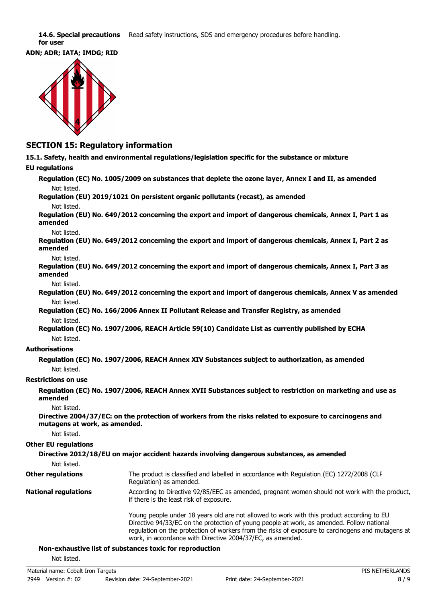14.6. Special precautions Read safety instructions, SDS and emergency procedures before handling. **for user**





### **SECTION 15: Regulatory information**

**15.1. Safety, health and environmental regulations/legislation specific for the substance or mixture**

#### **EU regulations**

**Regulation (EC) No. 1005/2009 on substances that deplete the ozone layer, Annex I and II, as amended** Not listed.

**Regulation (EU) 2019/1021 On persistent organic pollutants (recast), as amended** Not listed.

**Regulation (EU) No. 649/2012 concerning the export and import of dangerous chemicals, Annex I, Part 1 as amended**

Not listed.

**Regulation (EU) No. 649/2012 concerning the export and import of dangerous chemicals, Annex I, Part 2 as amended**

Not listed.

**Regulation (EU) No. 649/2012 concerning the export and import of dangerous chemicals, Annex I, Part 3 as amended**

Not listed.

- **Regulation (EU) No. 649/2012 concerning the export and import of dangerous chemicals, Annex V as amended** Not listed.
- **Regulation (EC) No. 166/2006 Annex II Pollutant Release and Transfer Registry, as amended** Not listed.
- **Regulation (EC) No. 1907/2006, REACH Article 59(10) Candidate List as currently published by ECHA** Not listed.

#### **Authorisations**

**Regulation (EC) No. 1907/2006, REACH Annex XIV Substances subject to authorization, as amended** Not listed.

#### **Restrictions on use**

**Regulation (EC) No. 1907/2006, REACH Annex XVII Substances subject to restriction on marketing and use as amended**

Not listed.

**Directive 2004/37/EC: on the protection of workers from the risks related to exposure to carcinogens and mutagens at work, as amended.**

Not listed.

#### **Other EU regulations**

|                          | Directive 2012/18/EU on major accident hazards involving dangerous substances, as amended                           |
|--------------------------|---------------------------------------------------------------------------------------------------------------------|
| Not listed.              |                                                                                                                     |
| <b>Other regulations</b> | The product is classified and labelled in accordance with Regulation (EC) 1272/2008 (CLP<br>Regulation) as amended. |

According to Directive 92/85/EEC as amended, pregnant women should not work with the product, if there is the least risk of exposure. **National regulations**

> Young people under 18 years old are not allowed to work with this product according to EU Directive 94/33/EC on the protection of young people at work, as amended. Follow national regulation on the protection of workers from the risks of exposure to carcinogens and mutagens at work, in accordance with Directive 2004/37/EC, as amended.

#### **Non-exhaustive list of substances toxic for reproduction**

Not listed.